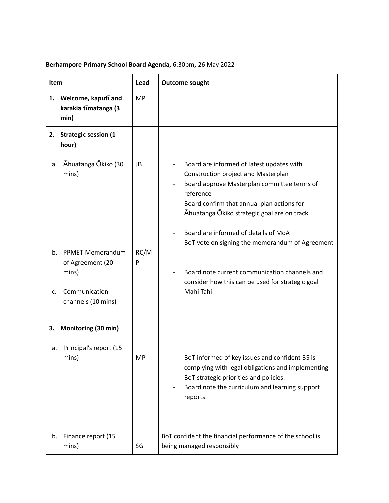| Item           |                                                                                                       | Lead            | <b>Outcome sought</b>                                                                                                                                                                                                                                                                                                                                                                                                                                  |
|----------------|-------------------------------------------------------------------------------------------------------|-----------------|--------------------------------------------------------------------------------------------------------------------------------------------------------------------------------------------------------------------------------------------------------------------------------------------------------------------------------------------------------------------------------------------------------------------------------------------------------|
|                | 1. Welcome, kaputī and<br>karakia tīmatanga (3<br>min)                                                | <b>MP</b>       |                                                                                                                                                                                                                                                                                                                                                                                                                                                        |
| 2.             | <b>Strategic session (1</b><br>hour)                                                                  |                 |                                                                                                                                                                                                                                                                                                                                                                                                                                                        |
| a.<br>b.<br>C. | Ahuatanga Okiko (30<br>mins)<br><b>PPMET Memorandum</b><br>of Agreement (20<br>mins)<br>Communication | JB<br>RC/M<br>P | Board are informed of latest updates with<br>Construction project and Masterplan<br>Board approve Masterplan committee terms of<br>reference<br>Board confirm that annual plan actions for<br>Āhuatanga Ōkiko strategic goal are on track<br>Board are informed of details of MoA<br>BoT vote on signing the memorandum of Agreement<br>Board note current communication channels and<br>consider how this can be used for strategic goal<br>Mahi Tahi |
|                | channels (10 mins)                                                                                    |                 |                                                                                                                                                                                                                                                                                                                                                                                                                                                        |
| 3.<br>а.       | Monitoring (30 min)<br>Principal's report (15<br>mins)                                                | <b>MP</b>       | BoT informed of key issues and confident BS is<br>complying with legal obligations and implementing<br>BoT strategic priorities and policies.<br>Board note the curriculum and learning support<br>reports                                                                                                                                                                                                                                             |
| b.             | Finance report (15<br>mins)                                                                           | SG              | BoT confident the financial performance of the school is<br>being managed responsibly                                                                                                                                                                                                                                                                                                                                                                  |

## **Berhampore Primary School Board Agenda,** 6:30pm, 26 May 2022